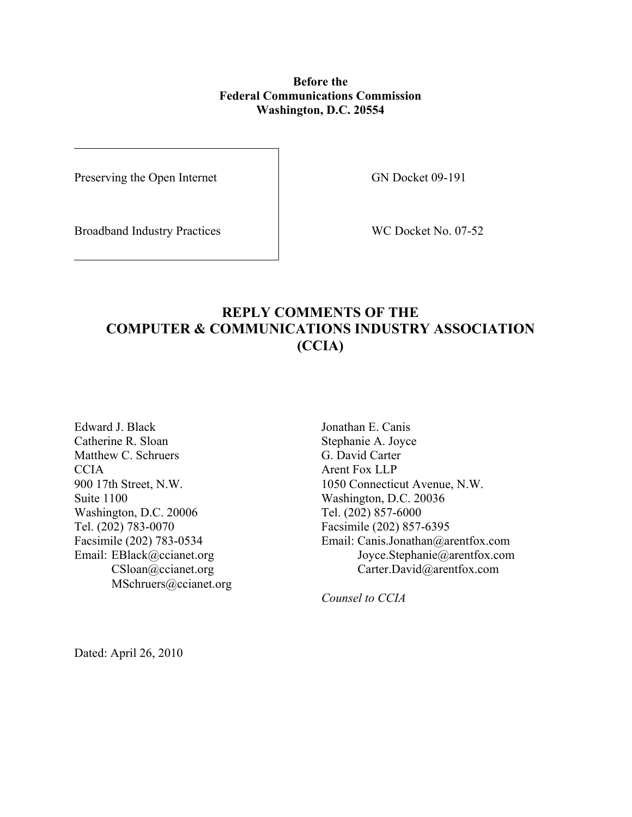## **Before the Federal Communications Commission Washington, D.C. 20554**

Preserving the Open Internet GN Docket 09-191

Broadband Industry Practices WC Docket No. 07-52

# **REPLY COMMENTS OF THE COMPUTER & COMMUNICATIONS INDUSTRY ASSOCIATION (CCIA)**

Edward J. Black Catherine R. Sloan Matthew C. Schruers **CCIA** 900 17th Street, N.W. Suite 1100 Washington, D.C. 20006 Tel. (202) 783-0070 Facsimile (202) 783-0534 Email: EBlack@ccianet.org CSloan@ccianet.org MSchruers@ccianet.org

Jonathan E. Canis Stephanie A. Joyce G. David Carter Arent Fox LLP 1050 Connecticut Avenue, N.W. Washington, D.C. 20036 Tel. (202) 857-6000 Facsimile (202) 857-6395 Email: Canis.Jonathan@arentfox.com Joyce.Stephanie@arentfox.com Carter.David@arentfox.com

*Counsel to CCIA* 

Dated: April 26, 2010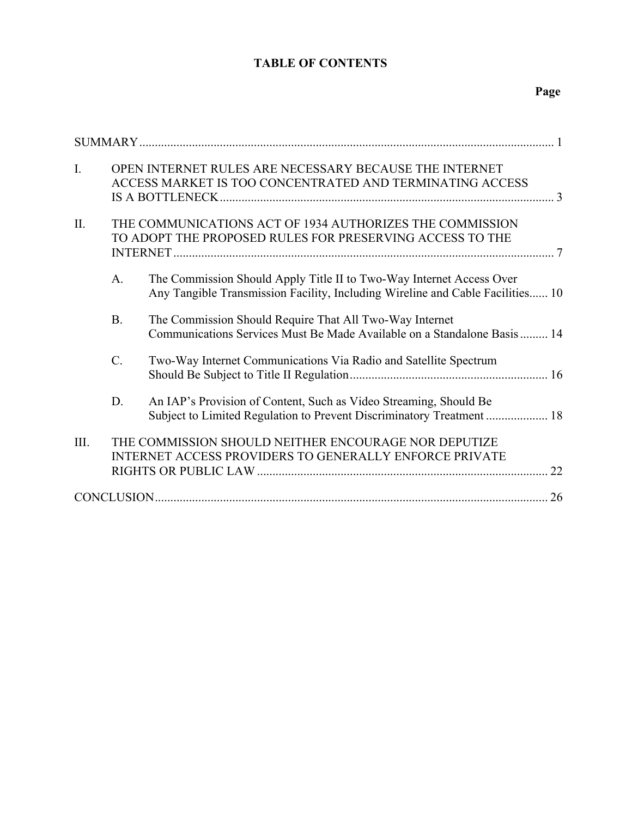## **TABLE OF CONTENTS**

|--|

| $\overline{I}$ . | OPEN INTERNET RULES ARE NECESSARY BECAUSE THE INTERNET<br>ACCESS MARKET IS TOO CONCENTRATED AND TERMINATING ACCESS    |                                                                                                                                                        |  |
|------------------|-----------------------------------------------------------------------------------------------------------------------|--------------------------------------------------------------------------------------------------------------------------------------------------------|--|
| II.              | THE COMMUNICATIONS ACT OF 1934 AUTHORIZES THE COMMISSION<br>TO ADOPT THE PROPOSED RULES FOR PRESERVING ACCESS TO THE  |                                                                                                                                                        |  |
|                  | A <sub>1</sub>                                                                                                        | The Commission Should Apply Title II to Two-Way Internet Access Over<br>Any Tangible Transmission Facility, Including Wireline and Cable Facilities 10 |  |
|                  | <b>B.</b>                                                                                                             | The Commission Should Require That All Two-Way Internet<br>Communications Services Must Be Made Available on a Standalone Basis 14                     |  |
|                  | $C$ .                                                                                                                 | Two-Way Internet Communications Via Radio and Satellite Spectrum                                                                                       |  |
|                  | D.                                                                                                                    | An IAP's Provision of Content, Such as Video Streaming, Should Be<br>Subject to Limited Regulation to Prevent Discriminatory Treatment  18             |  |
| III.             | THE COMMISSION SHOULD NEITHER ENCOURAGE NOR DEPUTIZE<br><b>INTERNET ACCESS PROVIDERS TO GENERALLY ENFORCE PRIVATE</b> |                                                                                                                                                        |  |
|                  |                                                                                                                       |                                                                                                                                                        |  |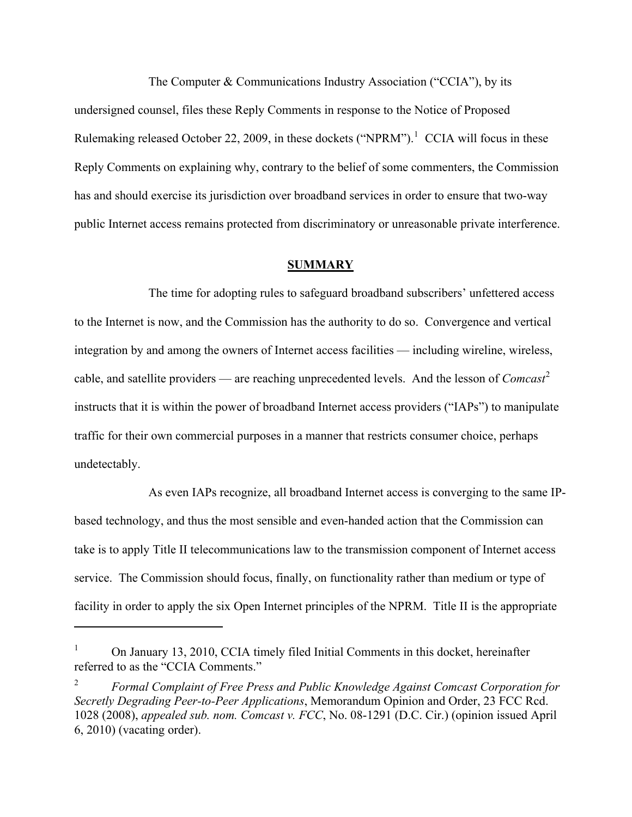The Computer & Communications Industry Association ("CCIA"), by its undersigned counsel, files these Reply Comments in response to the Notice of Proposed Rulemaking released October 22, 2009, in these dockets ("NPRM").<sup>[1](#page-2-1)</sup> CCIA will focus in these Reply Comments on explaining why, contrary to the belief of some commenters, the Commission has and should exercise its jurisdiction over broadband services in order to ensure that two-way public Internet access remains protected from discriminatory or unreasonable private interference.

#### **SUMMARY**

The time for adopting rules to safeguard broadband subscribers' unfettered access to the Internet is now, and the Commission has the authority to do so. Convergence and vertical integration by and among the owners of Internet access facilities — including wireline, wireless, cable, and satellite providers — are reaching unprecedented levels. And the lesson of *Comcast*[2](#page-2-0) instructs that it is within the power of broadband Internet access providers ("IAPs") to manipulate traffic for their own commercial purposes in a manner that restricts consumer choice, perhaps undetectably.

As even IAPs recognize, all broadband Internet access is converging to the same IPbased technology, and thus the most sensible and even-handed action that the Commission can take is to apply Title II telecommunications law to the transmission component of Internet access service. The Commission should focus, finally, on functionality rather than medium or type of facility in order to apply the six Open Internet principles of the NPRM. Title II is the appropriate

<span id="page-2-1"></span><sup>1</sup> On January 13, 2010, CCIA timely filed Initial Comments in this docket, hereinafter referred to as the "CCIA Comments."

<span id="page-2-0"></span><sup>2</sup> *Formal Complaint of Free Press and Public Knowledge Against Comcast Corporation for Secretly Degrading Peer-to-Peer Applications*, Memorandum Opinion and Order, 23 FCC Rcd. 1028 (2008), *appealed sub. nom. Comcast v. FCC*, No. 08-1291 (D.C. Cir.) (opinion issued April 6, 2010) (vacating order).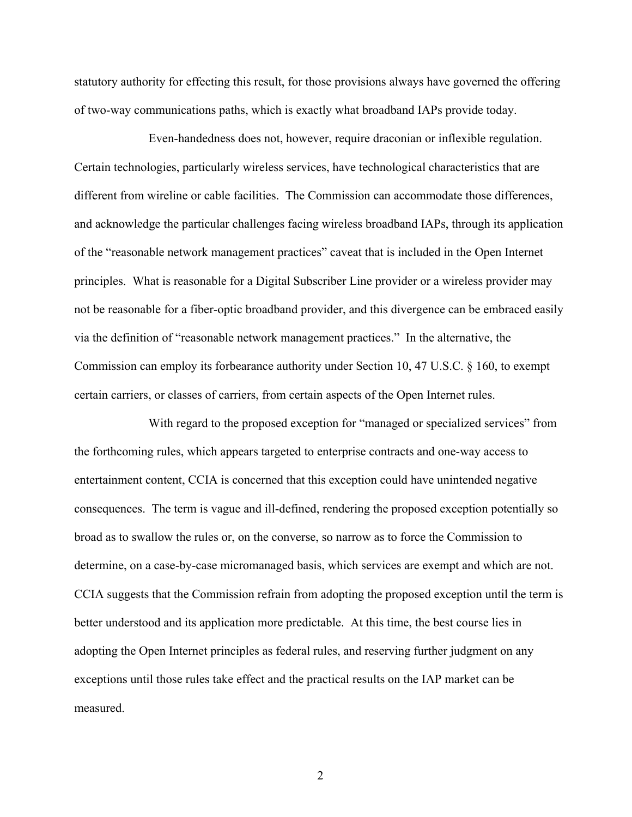statutory authority for effecting this result, for those provisions always have governed the offering of two-way communications paths, which is exactly what broadband IAPs provide today.

Even-handedness does not, however, require draconian or inflexible regulation. Certain technologies, particularly wireless services, have technological characteristics that are different from wireline or cable facilities. The Commission can accommodate those differences, and acknowledge the particular challenges facing wireless broadband IAPs, through its application of the "reasonable network management practices" caveat that is included in the Open Internet principles. What is reasonable for a Digital Subscriber Line provider or a wireless provider may not be reasonable for a fiber-optic broadband provider, and this divergence can be embraced easily via the definition of "reasonable network management practices." In the alternative, the Commission can employ its forbearance authority under Section 10, 47 U.S.C. § 160, to exempt certain carriers, or classes of carriers, from certain aspects of the Open Internet rules.

With regard to the proposed exception for "managed or specialized services" from the forthcoming rules, which appears targeted to enterprise contracts and one-way access to entertainment content, CCIA is concerned that this exception could have unintended negative consequences. The term is vague and ill-defined, rendering the proposed exception potentially so broad as to swallow the rules or, on the converse, so narrow as to force the Commission to determine, on a case-by-case micromanaged basis, which services are exempt and which are not. CCIA suggests that the Commission refrain from adopting the proposed exception until the term is better understood and its application more predictable. At this time, the best course lies in adopting the Open Internet principles as federal rules, and reserving further judgment on any exceptions until those rules take effect and the practical results on the IAP market can be measured.

2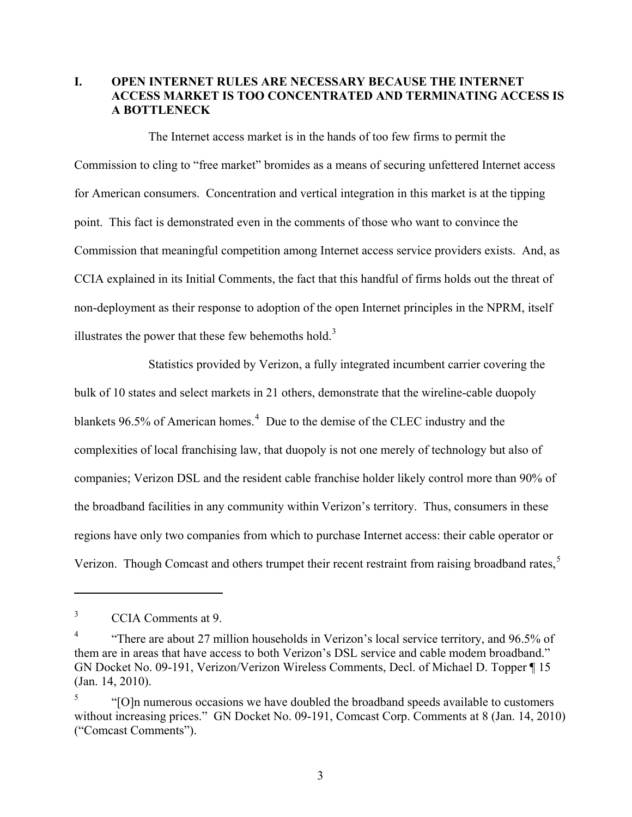## **I. OPEN INTERNET RULES ARE NECESSARY BECAUSE THE INTERNET ACCESS MARKET IS TOO CONCENTRATED AND TERMINATING ACCESS IS A BOTTLENECK**

The Internet access market is in the hands of too few firms to permit the Commission to cling to "free market" bromides as a means of securing unfettered Internet access for American consumers. Concentration and vertical integration in this market is at the tipping point. This fact is demonstrated even in the comments of those who want to convince the Commission that meaningful competition among Internet access service providers exists. And, as CCIA explained in its Initial Comments, the fact that this handful of firms holds out the threat of non-deployment as their response to adoption of the open Internet principles in the NPRM, itself illustrates the power that these few behemoths hold. $3$ 

Statistics provided by Verizon, a fully integrated incumbent carrier covering the bulk of 10 states and select markets in 21 others, demonstrate that the wireline-cable duopoly blankets 96.5% of American homes.<sup>[4](#page-4-2)</sup> Due to the demise of the CLEC industry and the complexities of local franchising law, that duopoly is not one merely of technology but also of companies; Verizon DSL and the resident cable franchise holder likely control more than 90% of the broadband facilities in any community within Verizon's territory. Thus, consumers in these regions have only two companies from which to purchase Internet access: their cable operator or Verizon. Though Comcast and others trumpet their recent restraint from raising broadband rates,<sup>[5](#page-4-0)</sup>

<span id="page-4-1"></span><sup>3</sup> CCIA Comments at 9.

<span id="page-4-2"></span><sup>4</sup> "There are about 27 million households in Verizon's local service territory, and 96.5% of them are in areas that have access to both Verizon's DSL service and cable modem broadband." GN Docket No. 09-191, Verizon/Verizon Wireless Comments, Decl. of Michael D. Topper ¶ 15 (Jan. 14, 2010).

<span id="page-4-0"></span><sup>5</sup> "[O]n numerous occasions we have doubled the broadband speeds available to customers without increasing prices." GN Docket No. 09-191, Comcast Corp. Comments at 8 (Jan. 14, 2010) ("Comcast Comments").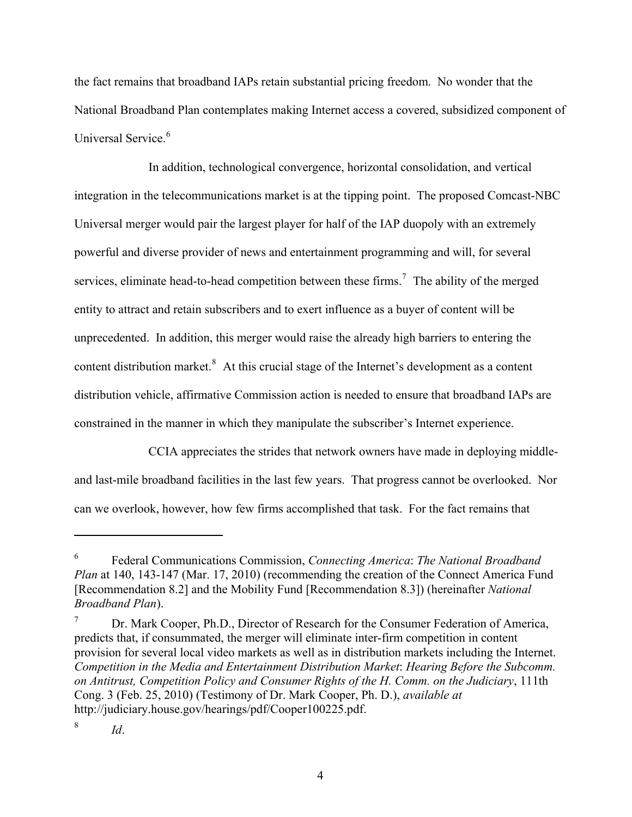the fact remains that broadband IAPs retain substantial pricing freedom. No wonder that the National Broadband Plan contemplates making Internet access a covered, subsidized component of Universal Service<sup>[6](#page-5-1)</sup>

In addition, technological convergence, horizontal consolidation, and vertical integration in the telecommunications market is at the tipping point. The proposed Comcast-NBC Universal merger would pair the largest player for half of the IAP duopoly with an extremely powerful and diverse provider of news and entertainment programming and will, for several services, eliminate head-to-head competition between these firms.<sup>[7](#page-5-2)</sup> The ability of the merged entity to attract and retain subscribers and to exert influence as a buyer of content will be unprecedented. In addition, this merger would raise the already high barriers to entering the content distribution market.<sup>[8](#page-5-0)</sup> At this crucial stage of the Internet's development as a content distribution vehicle, affirmative Commission action is needed to ensure that broadband IAPs are constrained in the manner in which they manipulate the subscriber's Internet experience.

CCIA appreciates the strides that network owners have made in deploying middleand last-mile broadband facilities in the last few years. That progress cannot be overlooked. Nor can we overlook, however, how few firms accomplished that task. For the fact remains that

<span id="page-5-1"></span><sup>6</sup> Federal Communications Commission, *Connecting America*: *The National Broadband Plan* at 140, 143-147 (Mar. 17, 2010) (recommending the creation of the Connect America Fund [Recommendation 8.2] and the Mobility Fund [Recommendation 8.3]) (hereinafter *National Broadband Plan*).

<span id="page-5-2"></span><sup>7</sup> Dr. Mark Cooper, Ph.D., Director of Research for the Consumer Federation of America, predicts that, if consummated, the merger will eliminate inter-firm competition in content provision for several local video markets as well as in distribution markets including the Internet. *Competition in the Media and Entertainment Distribution Market*: *Hearing Before the Subcomm. on Antitrust, Competition Policy and Consumer Rights of the H. Comm. on the Judiciary*, 111th Cong. 3 (Feb. 25, 2010) (Testimony of Dr. Mark Cooper, Ph. D.), *available at* http://judiciary.house.gov/hearings/pdf/Cooper100225.pdf.

<span id="page-5-0"></span><sup>8</sup> *Id*.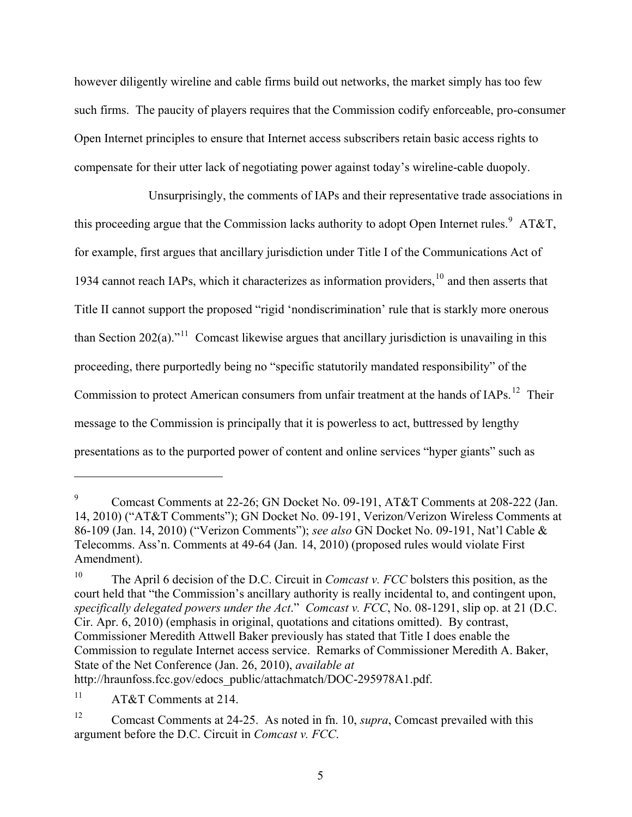however diligently wireline and cable firms build out networks, the market simply has too few such firms. The paucity of players requires that the Commission codify enforceable, pro-consumer Open Internet principles to ensure that Internet access subscribers retain basic access rights to compensate for their utter lack of negotiating power against today's wireline-cable duopoly.

Unsurprisingly, the comments of IAPs and their representative trade associations in this proceeding argue that the Commission lacks authority to adopt Open Internet rules.<sup>[9](#page-6-1)</sup> AT&T, for example, first argues that ancillary jurisdiction under Title I of the Communications Act of 1934 cannot reach IAPs, which it characterizes as information providers, $10$  and then asserts that Title II cannot support the proposed "rigid 'nondiscrimination' rule that is starkly more onerous than Section 202(a).<sup>"[11](#page-6-3)</sup> Comcast likewise argues that ancillary jurisdiction is unavailing in this proceeding, there purportedly being no "specific statutorily mandated responsibility" of the Commission to protect American consumers from unfair treatment at the hands of IAPs.<sup>[12](#page-6-0)</sup> Their message to the Commission is principally that it is powerless to act, buttressed by lengthy presentations as to the purported power of content and online services "hyper giants" such as

<span id="page-6-1"></span><sup>9</sup> Comcast Comments at 22-26; GN Docket No. 09-191, AT&T Comments at 208-222 (Jan. 14, 2010) ("AT&T Comments"); GN Docket No. 09-191, Verizon/Verizon Wireless Comments at 86-109 (Jan. 14, 2010) ("Verizon Comments"); *see also* GN Docket No. 09-191, Nat'l Cable & Telecomms. Ass'n. Comments at 49-64 (Jan. 14, 2010) (proposed rules would violate First Amendment).

<span id="page-6-2"></span><sup>10</sup> The April 6 decision of the D.C. Circuit in *Comcast v. FCC* bolsters this position, as the court held that "the Commission's ancillary authority is really incidental to, and contingent upon, *specifically delegated powers under the Act*." *Comcast v. FCC*, No. 08-1291, slip op. at 21 (D.C. Cir. Apr. 6, 2010) (emphasis in original, quotations and citations omitted). By contrast, Commissioner Meredith Attwell Baker previously has stated that Title I does enable the Commission to regulate Internet access service. Remarks of Commissioner Meredith A. Baker, State of the Net Conference (Jan. 26, 2010), *available at* http://hraunfoss.fcc.gov/edocs\_public/attachmatch/DOC-295978A1.pdf.

<span id="page-6-3"></span><sup>11</sup> AT&T Comments at 214.

<span id="page-6-0"></span><sup>&</sup>lt;sup>12</sup> Comcast Comments at 24-25. As noted in fn. 10, *supra*, Comcast prevailed with this argument before the D.C. Circuit in *Comcast v. FCC*.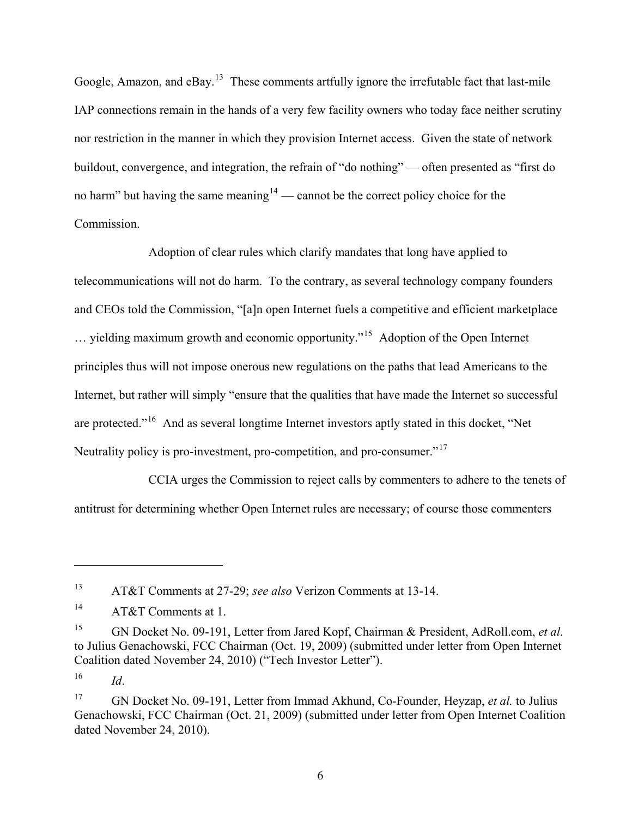Google, Amazon, and eBay.<sup>[13](#page-7-1)</sup> These comments artfully ignore the irrefutable fact that last-mile IAP connections remain in the hands of a very few facility owners who today face neither scrutiny nor restriction in the manner in which they provision Internet access. Given the state of network buildout, convergence, and integration, the refrain of "do nothing" — often presented as "first do no harm" but having the same meaning $14$  — cannot be the correct policy choice for the Commission.

Adoption of clear rules which clarify mandates that long have applied to telecommunications will not do harm. To the contrary, as several technology company founders and CEOs told the Commission, "[a]n open Internet fuels a competitive and efficient marketplace … yielding maximum growth and economic opportunity."[15](#page-7-3) Adoption of the Open Internet principles thus will not impose onerous new regulations on the paths that lead Americans to the Internet, but rather will simply "ensure that the qualities that have made the Internet so successful are protected."[16](#page-7-4) And as several longtime Internet investors aptly stated in this docket, "Net Neutrality policy is pro-investment, pro-competition, and pro-consumer.<sup>"[17](#page-7-0)</sup>

CCIA urges the Commission to reject calls by commenters to adhere to the tenets of antitrust for determining whether Open Internet rules are necessary; of course those commenters

!!!!!!!!!!!!!!!!!!!!!!!!!!!!!!!!!!!!!!!!!!!!!!!!!!!!!!!!!!!

<span id="page-7-4"></span> $16$  *Id.* 

<span id="page-7-1"></span><sup>13</sup> AT&T Comments at 27-29; *see also* Verizon Comments at 13-14.

<span id="page-7-2"></span><sup>&</sup>lt;sup>14</sup> AT&T Comments at 1.

<span id="page-7-3"></span><sup>15</sup> GN Docket No. 09-191, Letter from Jared Kopf, Chairman & President, AdRoll.com, *et al*. to Julius Genachowski, FCC Chairman (Oct. 19, 2009) (submitted under letter from Open Internet Coalition dated November 24, 2010) ("Tech Investor Letter").

<span id="page-7-0"></span><sup>17</sup> GN Docket No. 09-191, Letter from Immad Akhund, Co-Founder, Heyzap, *et al.* to Julius Genachowski, FCC Chairman (Oct. 21, 2009) (submitted under letter from Open Internet Coalition dated November 24, 2010).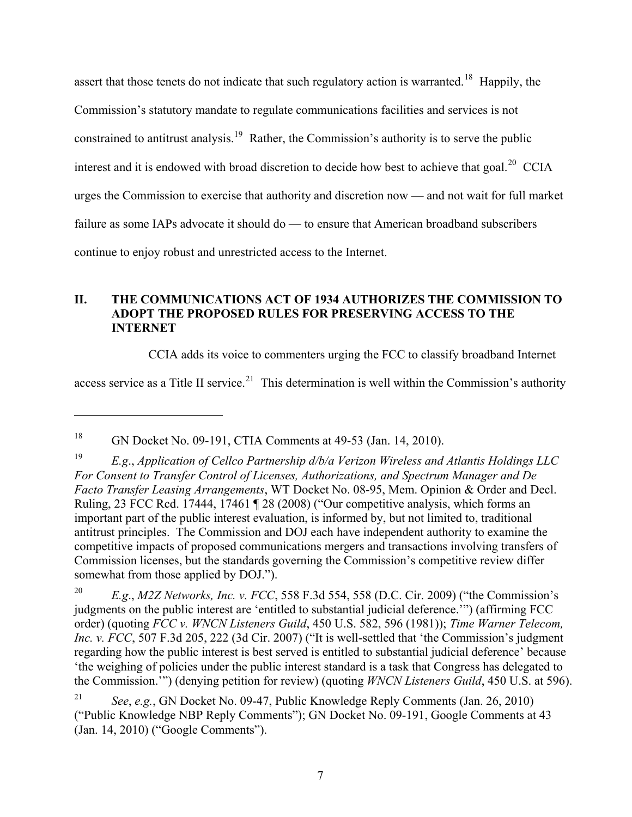assert that those tenets do not indicate that such regulatory action is warranted.<sup>[18](#page-8-1)</sup> Happily, the Commission's statutory mandate to regulate communications facilities and services is not constrained to antitrust analysis.<sup>[19](#page-8-2)</sup> Rather, the Commission's authority is to serve the public interest and it is endowed with broad discretion to decide how best to achieve that goal.<sup>[20](#page-8-3)</sup> CCIA urges the Commission to exercise that authority and discretion now — and not wait for full market failure as some IAPs advocate it should do — to ensure that American broadband subscribers continue to enjoy robust and unrestricted access to the Internet.

## **II. THE COMMUNICATIONS ACT OF 1934 AUTHORIZES THE COMMISSION TO ADOPT THE PROPOSED RULES FOR PRESERVING ACCESS TO THE INTERNET**

CCIA adds its voice to commenters urging the FCC to classify broadband Internet

access service as a Title II service.<sup>[21](#page-8-0)</sup> This determination is well within the Commission's authority

<span id="page-8-1"></span><sup>18</sup> GN Docket No. 09-191, CTIA Comments at 49-53 (Jan. 14, 2010).

<span id="page-8-2"></span><sup>19</sup> *E.g*., *Application of Cellco Partnership d/b/a Verizon Wireless and Atlantis Holdings LLC For Consent to Transfer Control of Licenses, Authorizations, and Spectrum Manager and De Facto Transfer Leasing Arrangements*, WT Docket No. 08-95, Mem. Opinion & Order and Decl. Ruling, 23 FCC Rcd. 17444, 17461 ¶ 28 (2008) ("Our competitive analysis, which forms an important part of the public interest evaluation, is informed by, but not limited to, traditional antitrust principles. The Commission and DOJ each have independent authority to examine the competitive impacts of proposed communications mergers and transactions involving transfers of Commission licenses, but the standards governing the Commission's competitive review differ somewhat from those applied by DOJ.").

<span id="page-8-3"></span><sup>20</sup> *E.g*., *M2Z Networks, Inc. v. FCC*, 558 F.3d 554, 558 (D.C. Cir. 2009) ("the Commission's judgments on the public interest are 'entitled to substantial judicial deference.'") (affirming FCC order) (quoting *FCC v. WNCN Listeners Guild*, 450 U.S. 582, 596 (1981)); *Time Warner Telecom, Inc. v. FCC*, 507 F.3d 205, 222 (3d Cir. 2007) ("It is well-settled that 'the Commission's judgment regarding how the public interest is best served is entitled to substantial judicial deference' because 'the weighing of policies under the public interest standard is a task that Congress has delegated to the Commission.'") (denying petition for review) (quoting *WNCN Listeners Guild*, 450 U.S. at 596).

<span id="page-8-0"></span><sup>21</sup> *See*, *e.g.*, GN Docket No. 09-47, Public Knowledge Reply Comments (Jan. 26, 2010) ("Public Knowledge NBP Reply Comments"); GN Docket No. 09-191, Google Comments at 43 (Jan. 14, 2010) ("Google Comments").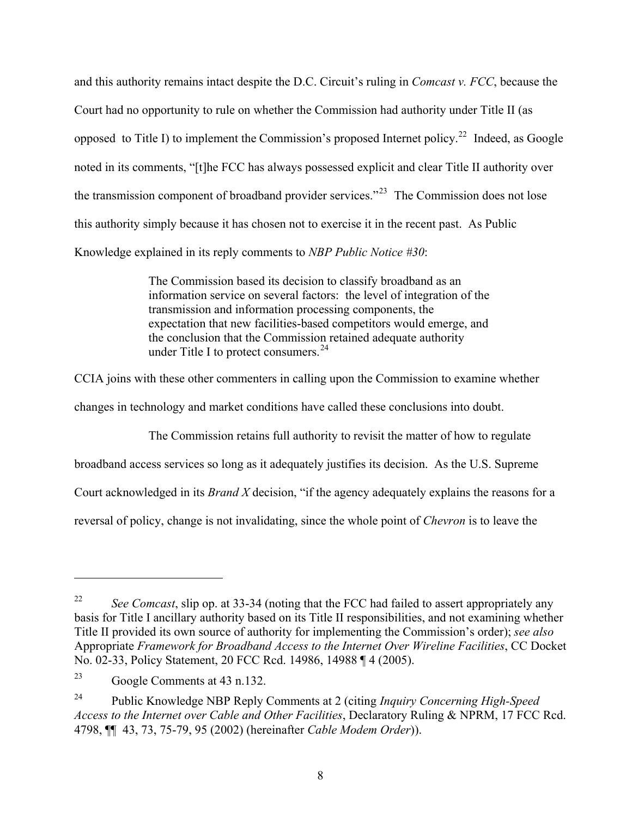and this authority remains intact despite the D.C. Circuit's ruling in *Comcast v. FCC*, because the Court had no opportunity to rule on whether the Commission had authority under Title II (as opposed to Title I) to implement the Commission's proposed Internet policy.<sup>[22](#page-9-1)</sup> Indeed, as Google noted in its comments, "[t]he FCC has always possessed explicit and clear Title II authority over the transmission component of broadband provider services.<sup>"[23](#page-9-2)</sup> The Commission does not lose this authority simply because it has chosen not to exercise it in the recent past. As Public Knowledge explained in its reply comments to *NBP Public Notice #30*:

> The Commission based its decision to classify broadband as an information service on several factors: the level of integration of the transmission and information processing components, the expectation that new facilities-based competitors would emerge, and the conclusion that the Commission retained adequate authority under Title I to protect consumers. $^{24}$  $^{24}$  $^{24}$

CCIA joins with these other commenters in calling upon the Commission to examine whether

changes in technology and market conditions have called these conclusions into doubt.

The Commission retains full authority to revisit the matter of how to regulate

broadband access services so long as it adequately justifies its decision. As the U.S. Supreme

Court acknowledged in its *Brand X* decision, "if the agency adequately explains the reasons for a

reversal of policy, change is not invalidating, since the whole point of *Chevron* is to leave the

<span id="page-9-1"></span><sup>&</sup>lt;sup>22</sup> *See Comcast*, slip op. at 33-34 (noting that the FCC had failed to assert appropriately any basis for Title I ancillary authority based on its Title II responsibilities, and not examining whether Title II provided its own source of authority for implementing the Commission's order); *see also* Appropriate *Framework for Broadband Access to the Internet Over Wireline Facilities*, CC Docket No. 02-33, Policy Statement, 20 FCC Rcd. 14986, 14988 ¶ 4 (2005).

<span id="page-9-2"></span><sup>23</sup> Google Comments at 43 n.132.

<span id="page-9-0"></span><sup>24</sup> Public Knowledge NBP Reply Comments at 2 (citing *Inquiry Concerning High-Speed Access to the Internet over Cable and Other Facilities*, Declaratory Ruling & NPRM, 17 FCC Rcd. 4798, ¶¶ 43, 73, 75-79, 95 (2002) (hereinafter *Cable Modem Order*)).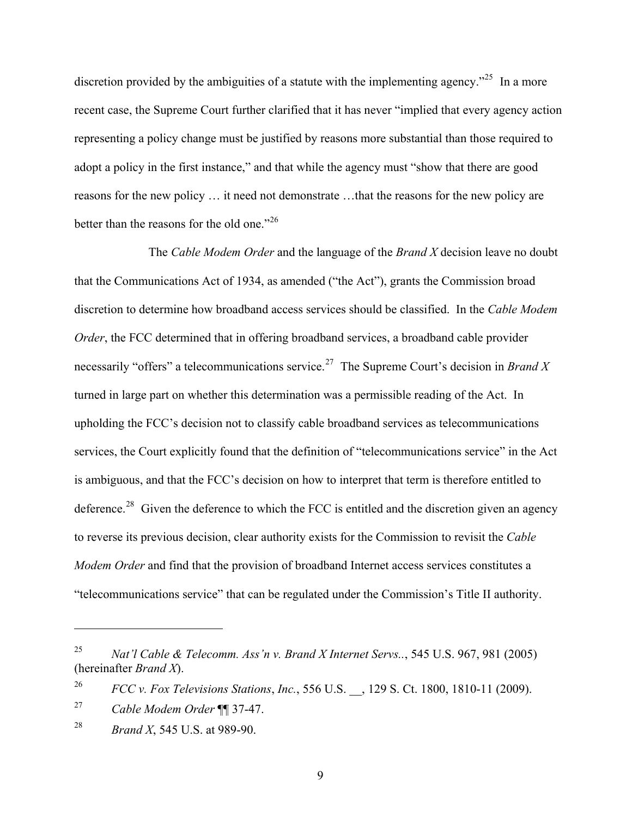discretion provided by the ambiguities of a statute with the implementing agency.<sup> $25$ </sup> In a more recent case, the Supreme Court further clarified that it has never "implied that every agency action representing a policy change must be justified by reasons more substantial than those required to adopt a policy in the first instance," and that while the agency must "show that there are good reasons for the new policy … it need not demonstrate …that the reasons for the new policy are better than the reasons for the old one."<sup>[26](#page-10-2)</sup>

The *Cable Modem Order* and the language of the *Brand X* decision leave no doubt that the Communications Act of 1934, as amended ("the Act"), grants the Commission broad discretion to determine how broadband access services should be classified. In the *Cable Modem Order*, the FCC determined that in offering broadband services, a broadband cable provider necessarily "offers" a telecommunications service.<sup>[27](#page-10-3)</sup> The Supreme Court's decision in *Brand X* turned in large part on whether this determination was a permissible reading of the Act. In upholding the FCC's decision not to classify cable broadband services as telecommunications services, the Court explicitly found that the definition of "telecommunications service" in the Act is ambiguous, and that the FCC's decision on how to interpret that term is therefore entitled to deference.<sup>[28](#page-10-0)</sup> Given the deference to which the FCC is entitled and the discretion given an agency to reverse its previous decision, clear authority exists for the Commission to revisit the *Cable Modem Order* and find that the provision of broadband Internet access services constitutes a "telecommunications service" that can be regulated under the Commission's Title II authority.

!!!!!!!!!!!!!!!!!!!!!!!!!!!!!!!!!!!!!!!!!!!!!!!!!!!!!!!!!!!

9

<span id="page-10-1"></span><sup>25</sup> *Nat'l Cable & Telecomm. Ass'n v. Brand X Internet Servs..*, 545 U.S. 967, 981 (2005) (hereinafter *Brand X*).

<span id="page-10-2"></span><sup>26</sup> *FCC v. Fox Televisions Stations*, *Inc.*, 556 U.S. \_\_, 129 S. Ct. 1800, 1810-11 (2009).

<span id="page-10-3"></span><sup>27</sup> *Cable Modem Order* ¶¶ 37-47.

<span id="page-10-0"></span><sup>28</sup> *Brand X*, 545 U.S. at 989-90.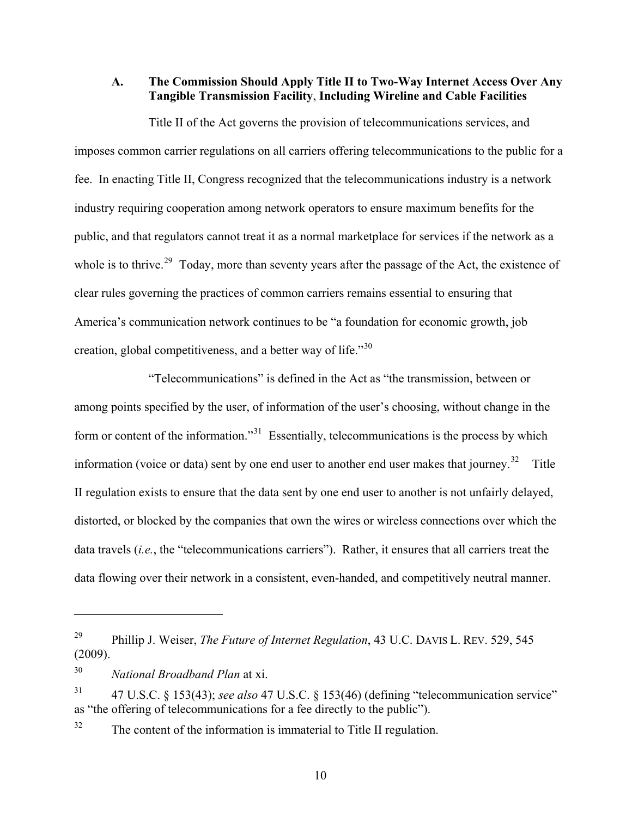**A. The Commission Should Apply Title II to Two-Way Internet Access Over Any Tangible Transmission Facility**, **Including Wireline and Cable Facilities** 

Title II of the Act governs the provision of telecommunications services, and imposes common carrier regulations on all carriers offering telecommunications to the public for a fee. In enacting Title II, Congress recognized that the telecommunications industry is a network industry requiring cooperation among network operators to ensure maximum benefits for the public, and that regulators cannot treat it as a normal marketplace for services if the network as a whole is to thrive.<sup>[29](#page-11-1)</sup> Today, more than seventy years after the passage of the Act, the existence of clear rules governing the practices of common carriers remains essential to ensuring that America's communication network continues to be "a foundation for economic growth, job creation, global competitiveness, and a better way of life.<sup> $130$  $130$ </sup>

"Telecommunications" is defined in the Act as "the transmission, between or among points specified by the user, of information of the user's choosing, without change in the form or content of the information."<sup>[31](#page-11-3)</sup> Essentially, telecommunications is the process by which information (voice or data) sent by one end user to another end user makes that journey.<sup>[32](#page-11-0)</sup> Title II regulation exists to ensure that the data sent by one end user to another is not unfairly delayed , distorted, or blocked by the companies that own the wires or wireless connections over which the data travels (*i.e.*, the "telecommunications carriers"). Rather, it ensures that all carriers treat the data flowing over their network in a consistent, even-handed, and competitively neutral manner.

<span id="page-11-1"></span><sup>29</sup> Phillip J. Weiser, *The Future of Internet Regulation*, 43 U.C. DAVIS L. REV. 529, 545 (2009).

<span id="page-11-2"></span><sup>30</sup> *National Broadband Plan* at xi.

<span id="page-11-3"></span><sup>31 47</sup> U.S.C. § 153(43); *see also* 47 U.S.C. § 153(46) (defining "telecommunication service" as "the offering of telecommunications for a fee directly to the public").

<span id="page-11-0"></span><sup>&</sup>lt;sup>32</sup> The content of the information is immaterial to Title II regulation.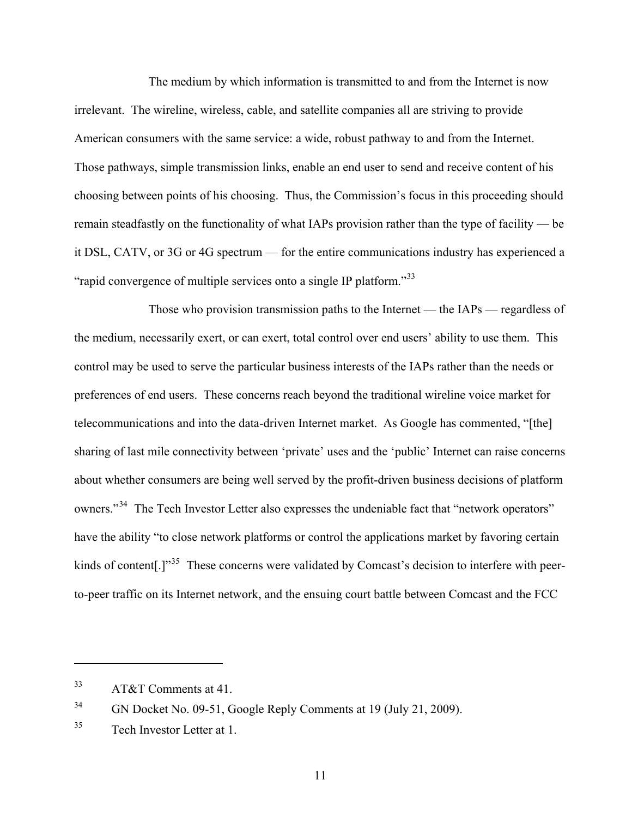The medium by which information is transmitted to and from the Internet is now irrelevant. The wireline, wireless, cable, and satellite companies all are striving to provide American consumers with the same service: a wide, robust pathway to and from the Internet. Those pathways, simple transmission links, enable an end user to send and receive content of his choosing between points of his choosing. Thus, the Commission's focus in this proceeding should remain steadfastly on the functionality of what IAPs provision rather than the type of facility — be it DSL, CATV, or 3G or 4G spectrum — for the entire communications industry has experienced a "rapid convergence of multiple services onto a single IP platform."<sup>[33](#page-12-1)</sup>

Those who provision transmission paths to the Internet — the IAPs — regardless of the medium, necessarily exert, or can exert, total control over end users' ability to use them. This control may be used to serve the particular business interests of the IAPs rather than the needs or preferences of end users. These concerns reach beyond the traditional wireline voice market for telecommunications and into the data-driven Internet market. As Google has commented, "[the] sharing of last mile connectivity between 'private' uses and the 'public' Internet can raise concerns about whether consumers are being well served by the profit-driven business decisions of platform owners."<sup>[34](#page-12-2)</sup> The Tech Investor Letter also expresses the undeniable fact that "network operators" have the ability "to close network platforms or control the applications market by favoring certain kinds of content<sup>[1]</sup><sup>[35](#page-12-0)</sup> These concerns were validated by Comcast's decision to interfere with peerto-peer traffic on its Internet network, and the ensuing court battle between Comcast and the FCC

<span id="page-12-1"></span><sup>33</sup> AT&T Comments at 41.

<span id="page-12-2"></span><sup>&</sup>lt;sup>34</sup> GN Docket No. 09-51, Google Reply Comments at 19 (July 21, 2009).

<span id="page-12-0"></span><sup>35</sup> Tech Investor Letter at 1.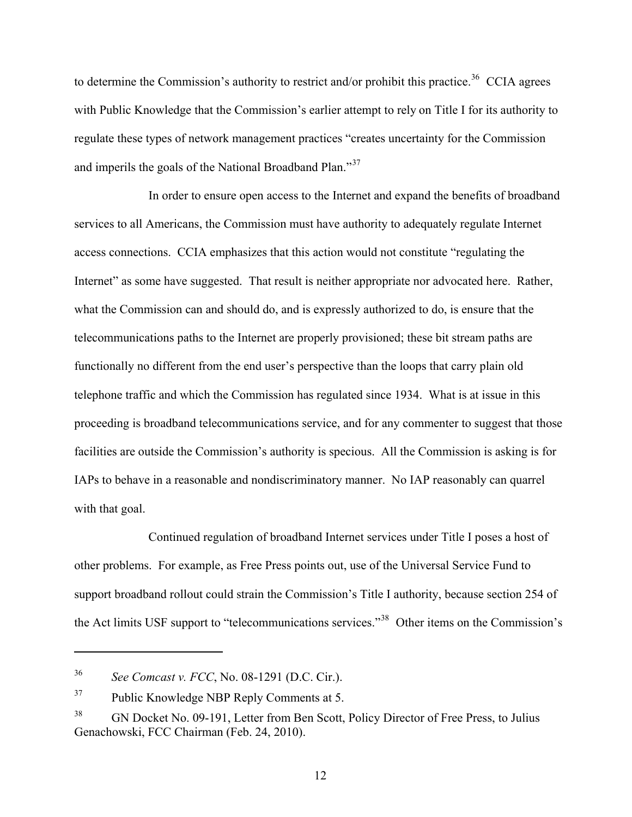to determine the Commission's authority to restrict and/or prohibit this practice.<sup>[36](#page-13-1)</sup> CCIA agrees with Public Knowledge that the Commission's earlier attempt to rely on Title I for its authority to regulate these types of network management practices "creates uncertainty for the Commission and imperils the goals of the National Broadband Plan."[37](#page-13-2)

In order to ensure open access to the Internet and expand the benefits of broadband services to all Americans, the Commission must have authority to adequately regulate Internet access connections. CCIA emphasizes that this action would not constitute "regulating the Internet" as some have suggested. That result is neither appropriate nor advocated here. Rather, what the Commission can and should do, and is expressly authorized to do, is ensure that the telecommunications paths to the Internet are properly provisioned; these bit stream paths are functionally no different from the end user's perspective than the loops that carry plain old telephone traffic and which the Commission has regulated since 1934. What is at issue in this proceeding is broadband telecommunications service, and for any commenter to suggest that those facilities are outside the Commission's authority is specious. All the Commission is asking is for IAPs to behave in a reasonable and nondiscriminatory manner. No IAP reasonably can quarrel with that goal.

Continued regulation of broadband Internet services under Title I poses a host of other problems. For example, as Free Press points out, use of the Universal Service Fund to support broadband rollout could strain the Commission's Title I authority, because section 254 of the Act limits USF support to "telecommunications services."[38](#page-13-0) Other items on the Commission's

<span id="page-13-1"></span><sup>36</sup> *See Comcast v. FCC*, No. 08-1291 (D.C. Cir.).

<span id="page-13-2"></span><sup>&</sup>lt;sup>37</sup> Public Knowledge NBP Reply Comments at 5.

<span id="page-13-0"></span><sup>&</sup>lt;sup>38</sup> GN Docket No. 09-191, Letter from Ben Scott, Policy Director of Free Press, to Julius Genachowski, FCC Chairman (Feb. 24, 2010).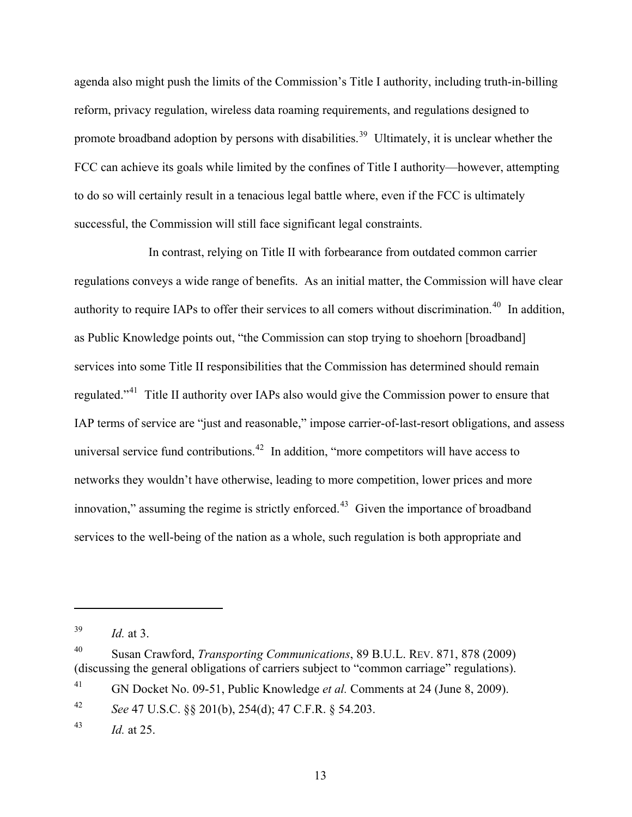agenda also might push the limits of the Commission's Title I authority, including truth-in-billing reform, privacy regulation, wireless data roaming requirements, and regulations designed to promote broadband adoption by persons with disabilities.<sup>[39](#page-14-1)</sup> Ultimately, it is unclear whether the FCC can achieve its goals while limited by the confines of Title I authority—however, attempting to do so will certainly result in a tenacious legal battle where, even if the FCC is ultimately successful, the Commission will still face significant legal constraints.

In contrast, relying on Title II with forbearance from outdated common carrier regulations conveys a wide range of benefits. As an initial matter, the Commission will have clear authority to require IAPs to offer their services to all comers without discrimination.<sup>[40](#page-14-2)</sup> In addition, as Public Knowledge points out, "the Commission can stop trying to shoehorn [broadband] services into some Title II responsibilities that the Commission has determined should remain regulated."<sup>[41](#page-14-3)</sup> Title II authority over IAPs also would give the Commission power to ensure that IAP terms of service are "just and reasonable," impose carrier-of-last-resort obligations, and assess universal service fund contributions.<sup>[42](#page-14-4)</sup> In addition, "more competitors will have access to networks they wouldn't have otherwise, leading to more competition, lower prices and more innovation," assuming the regime is strictly enforced. $43$  Given the importance of broadband services to the well-being of the nation as a whole, such regulation is both appropriate and

!!!!!!!!!!!!!!!!!!!!!!!!!!!!!!!!!!!!!!!!!!!!!!!!!!!!!!!!!!!

<span id="page-14-3"></span>41 GN Docket No. 09-51, Public Knowledge *et al.* Comments at 24 (June 8, 2009).

<span id="page-14-4"></span>42 *See* 47 U.S.C. §§ 201(b), 254(d); 47 C.F.R. § 54.203.

<span id="page-14-1"></span><sup>39</sup> *Id.* at 3.

<span id="page-14-2"></span><sup>40</sup> Susan Crawford, *Transporting Communications*, 89 B.U.L. REV. 871, 878 (2009) (discussing the general obligations of carriers subject to "common carriage" regulations).

<span id="page-14-0"></span><sup>43</sup> *Id.* at 25.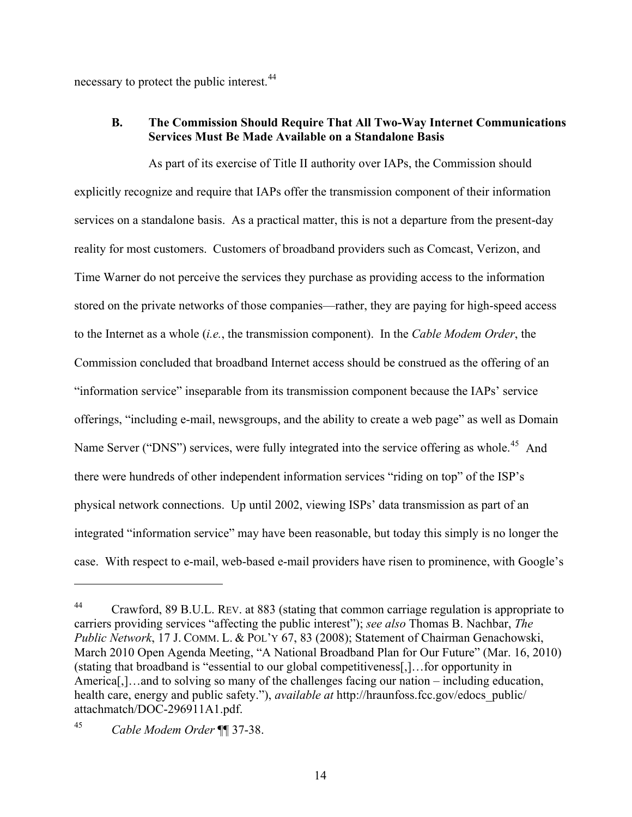necessary to protect the public interest.<sup>[44](#page-15-1)</sup>

#### **B. The Commission Should Require That All Two-Way Internet Communications Services Must Be Made Available on a Standalone Basis**

As part of its exercise of Title II authority over IAPs, the Commission should explicitly recognize and require that IAPs offer the transmission component of their information services on a standalone basis. As a practical matter, this is not a departure from the present-day reality for most customers. Customers of broadband providers such as Comcast, Verizon, and Time Warner do not perceive the services they purchase as providing access to the information stored on the private networks of those companies—rather, they are paying for high-speed access to the Internet as a whole (*i.e.*, the transmission component). In the *Cable Modem Order*, the Commission concluded that broadband Internet access should be construed as the offering of an "information service" inseparable from its transmission component because the IAPs' service offerings, "including e-mail, newsgroups, and the ability to create a web page" as well as Domain Name Server ("DNS") services, were fully integrated into the service offering as whole.<sup>[45](#page-15-0)</sup> And there were hundreds of other independent information services "riding on top" of the ISP's physical network connections. Up until 2002, viewing ISPs' data transmission as part of an integrated "information service" may have been reasonable, but today this simply is no longer the case. With respect to e-mail, web-based e-mail providers have risen to prominence, with Google's

<span id="page-15-1"></span><sup>&</sup>lt;sup>44</sup> Crawford, 89 B.U.L. REV. at 883 (stating that common carriage regulation is appropriate to carriers providing services "affecting the public interest"); *see also* Thomas B. Nachbar, *The Public Network*, 17 J. COMM. L. & POL'Y 67, 83 (2008); Statement of Chairman Genachowski, March 2010 Open Agenda Meeting, "A National Broadband Plan for Our Future" (Mar. 16, 2010) (stating that broadband is "essential to our global competitiveness[,]…for opportunity in America[,]…and to solving so many of the challenges facing our nation – including education, health care, energy and public safety."), *available at* http://hraunfoss.fcc.gov/edocs\_public/ attachmatch/DOC-296911A1.pdf.

<span id="page-15-0"></span><sup>45</sup> *Cable Modem Order* ¶¶ 37-38.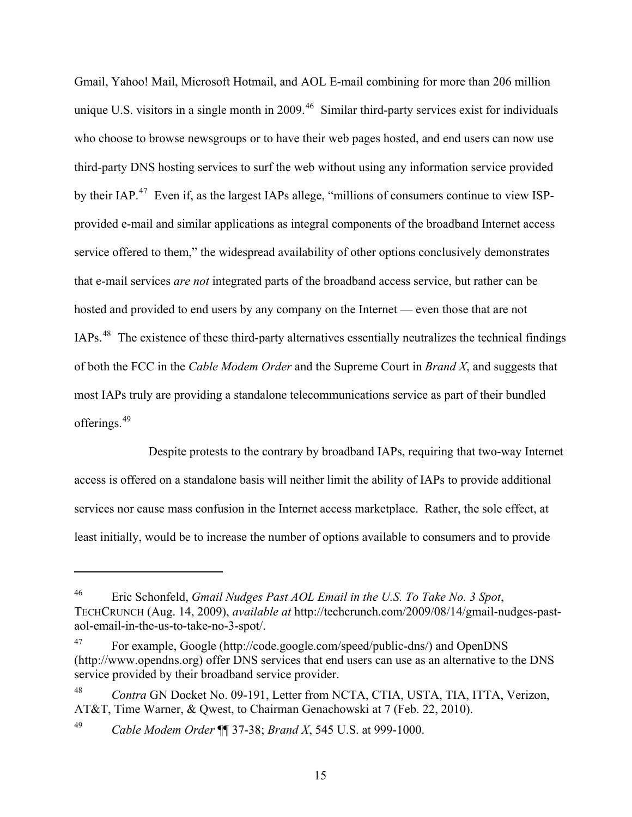Gmail, Yahoo! Mail, Microsoft Hotmail, and AOL E-mail combining for more than 206 million unique U.S. visitors in a single month in 2009.<sup>[46](#page-16-1)</sup> Similar third-party services exist for individuals who choose to browse newsgroups or to have their web pages hosted, and end users can now use third-party DNS hosting services to surf the web without using any information service provided by their IAP.<sup>[47](#page-16-2)</sup> Even if, as the largest IAPs allege, "millions of consumers continue to view ISPprovided e-mail and similar applications as integral components of the broadband Internet access service offered to them," the widespread availability of other options conclusively demonstrates that e-mail services *are not* integrated parts of the broadband access service, but rather can be hosted and provided to end users by any company on the Internet — even those that are not IAPs.[48](#page-16-3) The existence of these third-party alternatives essentially neutralizes the technical findings of both the FCC in the *Cable Modem Order* and the Supreme Court in *Brand X*, and suggests tha t most IAPs truly are providing a standalone telecommunications service as part of their bundled offerings. [49](#page-16-0)

Despite protests to the contrary by broadband IAPs, requiring that two-way Internet access is offered on a standalone basis will neither limit the ability of IAPs to provide additional services nor cause mass confusion in the Internet access marketplace. Rather, the sole effect, at least initially, would be to increase the number of options available to consumers and to provide

<span id="page-16-1"></span><sup>46</sup> Eric Schonfeld, *Gmail Nudges Past AOL Email in the U.S. To Take No. 3 Spot*, TECHCRUNCH (Aug. 14, 2009), *available at* http://techcrunch.com/2009/08/14/gmail-nudges-pastaol-email-in-the-us-to-take-no-3-spot/.

<span id="page-16-2"></span><sup>47</sup> For example, Google (http://code.google.com/speed/public-dns/) and OpenDNS (http://www.opendns.org) offer DNS services that end users can use as an alternative to the DNS service provided by their broadband service provider.

<span id="page-16-3"></span><sup>48</sup> *Contra* GN Docket No. 09-191, Letter from NCTA, CTIA, USTA, TIA, ITTA, Verizon, AT&T, Time Warner, & Qwest, to Chairman Genachowski at 7 (Feb. 22, 2010).

<span id="page-16-0"></span><sup>49</sup> *Cable Modem Order* ¶¶ 37-38; *Brand X*, 545 U.S. at 999-1000.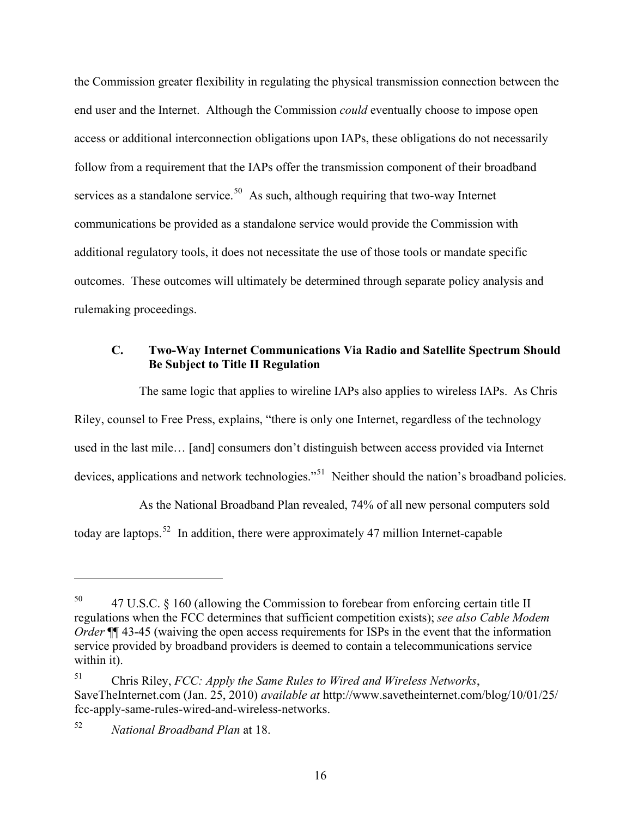the Commission greater flexibility in regulating the physical transmission connection between the end user and the Internet. Although the Commission *could* eventually choose to impose open access or additional interconnection obligations upon IAPs, these obligations do not necessarily follow from a requirement that the IAPs offer the transmission component of their broadband services as a standalone service.<sup>[50](#page-17-1)</sup> As such, although requiring that two-way Internet communications be provided as a standalone service would provide the Commission with additional regulatory tools, it does not necessitate the use of those tools or mandate specific outcomes. These outcomes will ultimately be determined through separate policy analysis and rulemaking proceedings.

#### **C. Two-Way Internet Communications Via Radio and Satellite Spectrum Should Be Subject to Title II Regulation**

The same logic that applies to wireline IAPs also applies to wireless IAPs. As Chris Riley, counsel to Free Press, explains, "there is only one Internet, regardless of the technology used in the last mile… [and] consumers don't distinguish between access provided via Internet devices, applications and network technologies."<sup>[51](#page-17-2)</sup> Neither should the nation's broadband policies.

As the National Broadband Plan revealed, 74% of all new personal computers sold today are laptops.<sup>[52](#page-17-0)</sup> In addition, there were approximately 47 million Internet-capable

<span id="page-17-1"></span><sup>50 47</sup> U.S.C. § 160 (allowing the Commission to forebear from enforcing certain title II regulations when the FCC determines that sufficient competition exists); *see also Cable Modem Order*  $\P$  43-45 (waiving the open access requirements for ISPs in the event that the information service provided by broadband providers is deemed to contain a telecommunications service within it).

<span id="page-17-2"></span><sup>51</sup> Chris Riley, *FCC: Apply the Same Rules to Wired and Wireless Networks*, SaveTheInternet.com (Jan. 25, 2010) *available at* http://www.savetheinternet.com/blog/10/01/25/ fcc-apply-same-rules-wired-and-wireless-networks.

<span id="page-17-0"></span><sup>52</sup> *National Broadband Plan* at 18.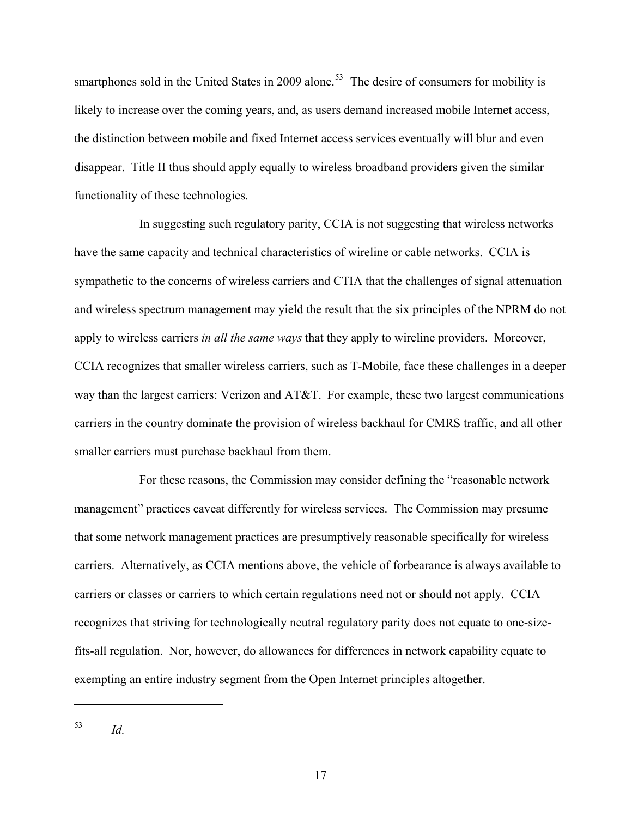smartphones sold in the United States in 2009 alone.<sup>[53](#page-18-0)</sup> The desire of consumers for mobility is likely to increase over the coming years, and, as users demand increased mobile Internet access, the distinction between mobile and fixed Internet access services eventually will blur and even disappear. Title II thus should apply equally to wireless broadband providers given the similar functionality of these technologies.

In suggesting such regulatory parity, CCIA is not suggesting that wireless networks have the same capacity and technical characteristics of wireline or cable networks. CCIA is sympathetic to the concerns of wireless carriers and CTIA that the challenges of signal attenuation and wireless spectrum management may yield the result that the six principles of the NPRM do not apply to wireless carriers *in all the same ways* that they apply to wireline providers. Moreover, CCIA recognizes that smaller wireless carriers, such as T-Mobile, face these challenges in a deeper way than the largest carriers: Verizon and AT&T. For example, these two largest communications carriers in the country dominate the provision of wireless backhaul for CMRS traffic, and all other smaller carriers must purchase backhaul from them.

For these reasons, the Commission may consider defining the "reasonable network management" practices caveat differently for wireless services. The Commission may presume that some network management practices are presumptively reasonable specifically for wireless carriers. Alternatively, as CCIA mentions above, the vehicle of forbearance is always available to carriers or classes or carriers to which certain regulations need not or should not apply. CCIA recognizes that striving for technologically neutral regulatory parity does not equate to one-sizefits-all regulation. Nor, however, do allowances for differences in network capability equate to exempting an entire industry segment from the Open Internet principles altogether.

<span id="page-18-0"></span><sup>53</sup> *Id.*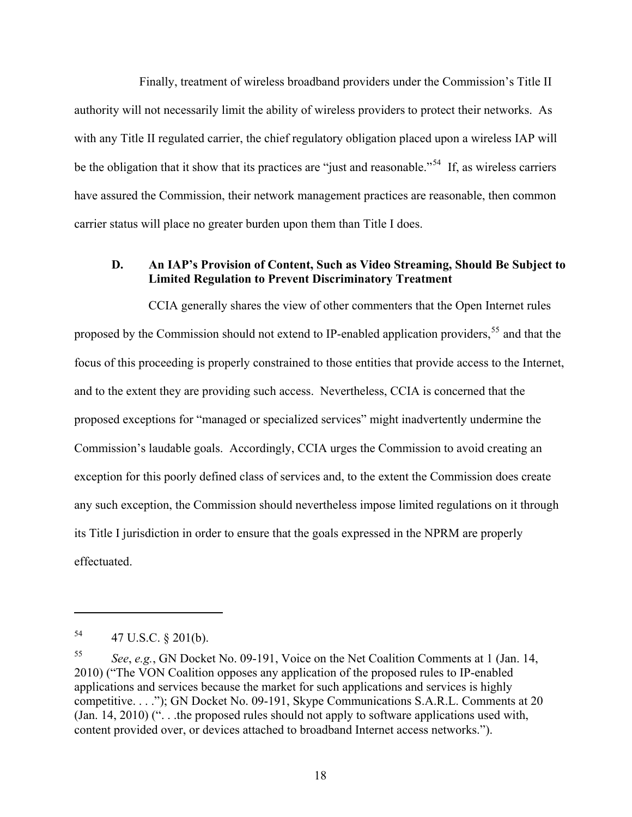Finally, treatment of wireless broadband providers under the Commission's Title II authority will not necessarily limit the ability of wireless providers to protect their networks. As with any Title II regulated carrier, the chief regulatory obligation placed upon a wireless IAP will be the obligation that it show that its practices are "just and reasonable."<sup>[54](#page-19-1)</sup> If, as wireless carriers have assured the Commission, their network management practices are reasonable, then common carrier status will place no greater burden upon them than Title I does.

#### **D. An IAP's Provision of Content, Such as Video Streaming, Should Be Subject to Limited Regulation to Prevent Discriminatory Treatment**

CCIA generally shares the view of other commenters that the Open Internet rules proposed by the Commission should not extend to IP-enabled application providers,<sup>[55](#page-19-0)</sup> and that the focus of this proceeding is properly constrained to those entities that provide access to the Internet, and to the extent they are providing such access. Nevertheless, CCIA is concerned that the proposed exceptions for "managed or specialized services" might inadvertently undermine the Commission's laudable goals. Accordingly, CCIA urges the Commission to avoid creating an exception for this poorly defined class of services and, to the extent the Commission does create any such exception, the Commission should nevertheless impose limited regulations on it through its Title I jurisdiction in order to ensure that the goals expressed in the NPRM are properly effectuated.

<span id="page-19-1"></span> $^{54}$  47 U.S.C. § 201(b).

<span id="page-19-0"></span><sup>55</sup> *See*, *e.g.*, GN Docket No. 09-191, Voice on the Net Coalition Comments at 1 (Jan. 14, 2010) ("The VON Coalition opposes any application of the proposed rules to IP-enabled applications and services because the market for such applications and services is highly competitive. . . ."); GN Docket No. 09-191, Skype Communications S.A.R.L. Comments at 20 (Jan. 14, 2010) (". . .the proposed rules should not apply to software applications used with, content provided over, or devices attached to broadband Internet access networks.").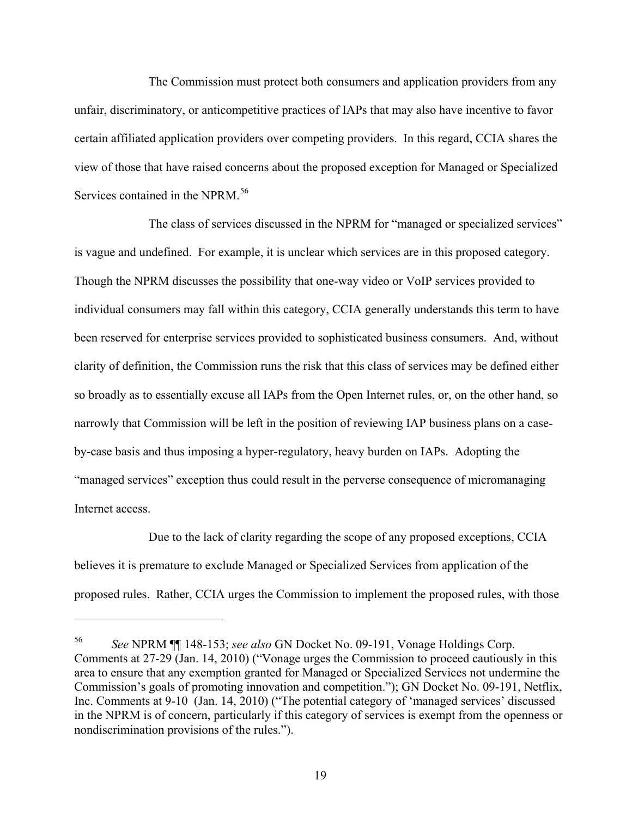The Commission must protect both consumers and application providers from any unfair, discriminatory, or anticompetitive practices of IAPs that may also have incentive to favor certain affiliated application providers over competing providers. In this regard, CCIA shares the view of those that have raised concerns about the proposed exception for Managed or Specialized Services contained in the NPRM.<sup>[56](#page-20-0)</sup>

The class of services discussed in the NPRM for "managed or specialized services" is vague and undefined. For example, it is unclear which services are in this proposed category. Though the NPRM discusses the possibility that one-way video or VoIP services provided to individual consumers may fall within this category, CCIA generally understands this term to have been reserved for enterprise services provided to sophisticated business consumers. And, without clarity of definition, the Commission runs the risk that this class of services may be defined either so broadly as to essentially excuse all IAPs from the Open Internet rules, or, on the other hand, so narrowly that Commission will be left in the position of reviewing IAP business plans on a caseby-case basis and thus imposing a hyper-regulatory, heavy burden on IAPs. Adopting the "managed services" exception thus could result in the perverse consequence of micromanaging Internet access.

Due to the lack of clarity regarding the scope of any proposed exceptions, CCIA believes it is premature to exclude Managed or Specialized Services from application of the proposed rules. Rather, CCIA urges the Commission to implement the proposed rules, with those

<span id="page-20-0"></span><sup>56</sup> *See* NPRM ¶¶ 148-153; *see also* GN Docket No. 09-191, Vonage Holdings Corp. Comments at 27-29 (Jan. 14, 2010) ("Vonage urges the Commission to proceed cautiously in this area to ensure that any exemption granted for Managed or Specialized Services not undermine the Commission's goals of promoting innovation and competition."); GN Docket No. 09-191, Netflix, Inc. Comments at 9-10 (Jan. 14, 2010) ("The potential category of 'managed services' discussed in the NPRM is of concern, particularly if this category of services is exempt from the openness or nondiscrimination provisions of the rules.").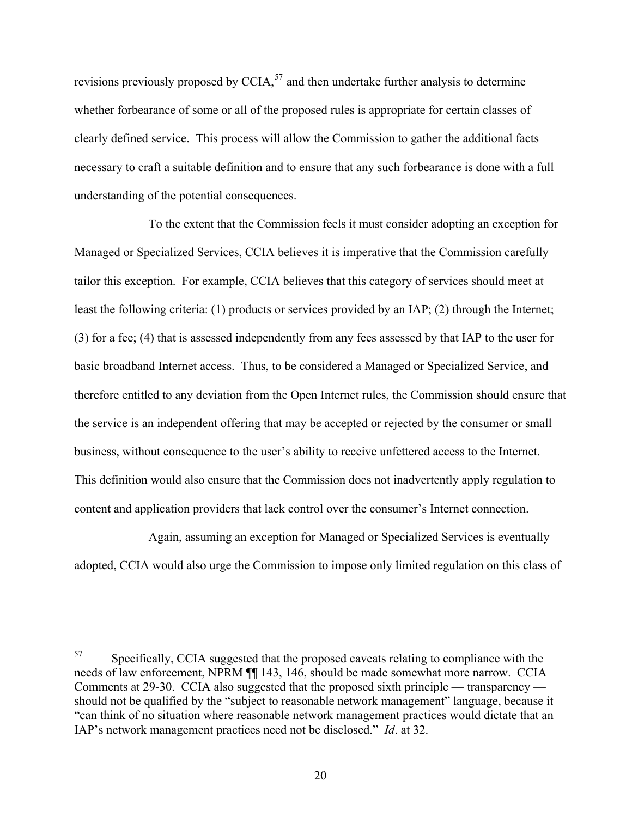revisions previously proposed by CCIA,  $57$  and then undertake further analysis to determine whether forbearance of some or all of the proposed rules is appropriate for certain classes of clearly defined service. This process will allow the Commission to gather the additional facts necessary to craft a suitable definition and to ensure that any such forbearance is done with a full understanding of the potential consequences.

To the extent that the Commission feels it must consider adopting an exception for Managed or Specialized Services, CCIA believes it is imperative that the Commission carefully tailor this exception. For example, CCIA believes that this category of services should meet at least the following criteria: (1) products or services provided by an IAP; (2) through the Internet; (3) for a fee; (4) that is assessed independently from any fees assessed by that IAP to the user for basic broadband Internet access. Thus, to be considered a Managed or Specialized Service, and therefore entitled to any deviation from the Open Internet rules, the Commission should ensure that the service is an independent offering that may be accepted or rejected by the consumer or small business, without consequence to the user's ability to receive unfettered access to the Internet. This definition would also ensure that the Commission does not inadvertently apply regulation to content and application providers that lack control over the consumer's Internet connection.

Again, assuming an exception for Managed or Specialized Services is eventually adopted, CCIA would also urge the Commission to impose only limited regulation on this class of

<span id="page-21-0"></span><sup>57</sup> Specifically, CCIA suggested that the proposed caveats relating to compliance with the needs of law enforcement, NPRM ¶¶ 143, 146, should be made somewhat more narrow. CCIA Comments at 29-30. CCIA also suggested that the proposed sixth principle — transparency should not be qualified by the "subject to reasonable network management" language, because it "can think of no situation where reasonable network management practices would dictate that an IAP's network management practices need not be disclosed." *Id*. at 32.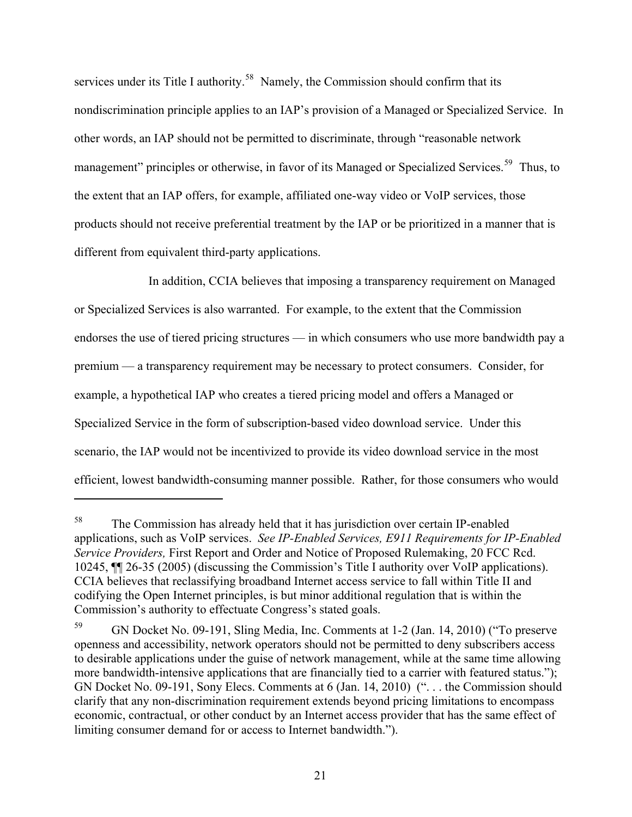services under its Title I authority.<sup>[58](#page-22-1)</sup> Namely, the Commission should confirm that its nondiscrimination principle applies to an IAP's provision of a Managed or Specialized Service. In other words, an IAP should not be permitted to discriminate, through "reasonable network management" principles or otherwise, in favor of its Managed or Specialized Services.<sup>[59](#page-22-0)</sup> Thus, to the extent that an IAP offers, for example, affiliated one-way video or VoIP services, those products should not receive preferential treatment by the IAP or be prioritized in a manner that is different from equivalent third-party applications.

In addition, CCIA believes that imposing a transparency requirement on Managed or Specialized Services is also warranted. For example, to the extent that the Commission endorses the use of tiered pricing structures — in which consumers who use more bandwidth pay a premium — a transparency requirement may be necessary to protect consumers. Consider, for example, a hypothetical IAP who creates a tiered pricing model and offers a Managed or Specialized Service in the form of subscription-based video download service. Under this scenario, the IAP would not be incentivized to provide its video download service in the most efficient, lowest bandwidth-consuming manner possible. Rather, for those consumers who would

<span id="page-22-1"></span><sup>58</sup> The Commission has already held that it has jurisdiction over certain IP-enabled applications, such as VoIP services. *See IP-Enabled Services, E911 Requirements for IP-Enabled Service Providers,* First Report and Order and Notice of Proposed Rulemaking, 20 FCC Rcd. 10245, ¶¶ 26-35 (2005) (discussing the Commission's Title I authority over VoIP applications). CCIA believes that reclassifying broadband Internet access service to fall within Title II and codifying the Open Internet principles, is but minor additional regulation that is within the Commission's authority to effectuate Congress's stated goals.

<span id="page-22-0"></span><sup>59</sup> GN Docket No. 09-191, Sling Media, Inc. Comments at 1-2 (Jan. 14, 2010) ("To preserve openness and accessibility, network operators should not be permitted to deny subscribers access to desirable applications under the guise of network management, while at the same time allowing more bandwidth-intensive applications that are financially tied to a carrier with featured status."); GN Docket No. 09-191, Sony Elecs. Comments at 6 (Jan. 14, 2010) (". . . the Commission should clarify that any non-discrimination requirement extends beyond pricing limitations to encompass economic, contractual, or other conduct by an Internet access provider that has the same effect of limiting consumer demand for or access to Internet bandwidth.").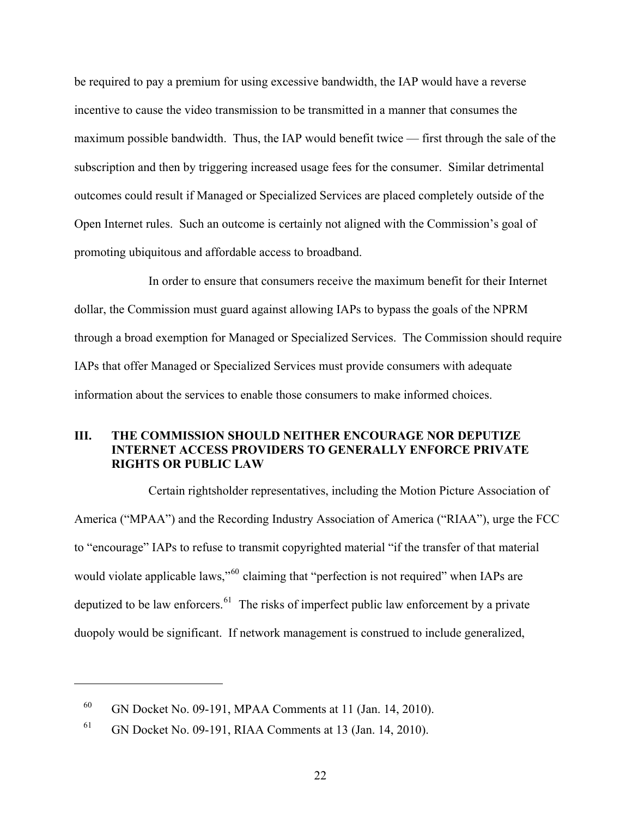be required to pay a premium for using excessive bandwidth, the IAP would have a reverse incentive to cause the video transmission to be transmitted in a manner that consumes the maximum possible bandwidth. Thus, the IAP would benefit twice — first through the sale of the subscription and then by triggering increased usage fees for the consumer. Similar detrimental outcomes could result if Managed or Specialized Services are placed completely outside of the Open Internet rules. Such an outcome is certainly not aligned with the Commission's goal of promoting ubiquitous and affordable access to broadband.

In order to ensure that consumers receive the maximum benefit for their Internet dollar, the Commission must guard against allowing IAPs to bypass the goals of the NPRM through a broad exemption for Managed or Specialized Services. The Commission should require IAPs that offer Managed or Specialized Services must provide consumers with adequate information about the services to enable those consumers to make informed choices.

## **III. THE COMMISSION SHOULD NEITHER ENCOURAGE NOR DEPUTIZE INTERNET ACCESS PROVIDERS TO GENERALLY ENFORCE PRIVATE RIGHTS OR PUBLIC LAW**

Certain rightsholder representatives, including the Motion Picture Association of America ("MPAA") and the Recording Industry Association of America ("RIAA"), urge the FCC to "encourage" IAPs to refuse to transmit copyrighted material "if the transfer of that material would violate applicable laws,"<sup>[60](#page-23-1)</sup> claiming that "perfection is not required" when IAPs are deputized to be law enforcers.<sup>[61](#page-23-0)</sup> The risks of imperfect public law enforcement by a private duopoly would be significant. If network management is construed to include generalized,

<span id="page-23-1"></span><sup>60</sup> GN Docket No. 09-191, MPAA Comments at 11 (Jan. 14, 2010).

<span id="page-23-0"></span><sup>61</sup> GN Docket No. 09-191, RIAA Comments at 13 (Jan. 14, 2010).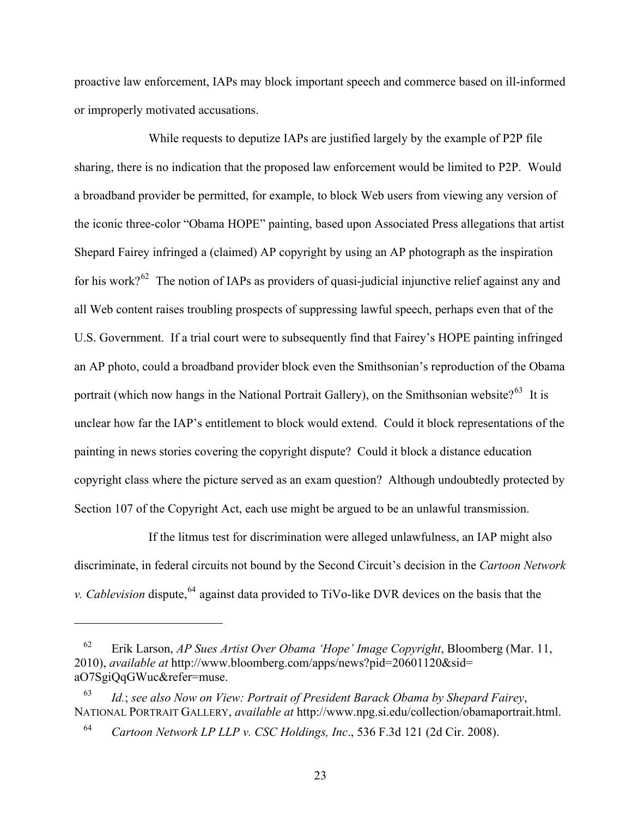proactive law enforcement, IAPs may block important speech and commerce based on ill-informed or improperly motivated accusations.

While requests to deputize IAPs are justified largely by the example of P2P file sharing, there is no indication that the proposed law enforcement would be limited to P2P. Would a broadband provider be permitted, for example, to block Web users from viewing any version of the iconic three-color "Obama HOPE" painting, based upon Associated Press allegations that artist Shepard Fairey infringed a (claimed) AP copyright by using an AP photograph as the inspiration for his work?<sup>[62](#page-24-1)</sup> The notion of IAPs as providers of quasi-judicial injunctive relief against any and all Web content raises troubling prospects of suppressing lawful speech, perhaps even that of the U.S. Government. If a trial court were to subsequently find that Fairey's HOPE painting infringed an AP photo, could a broadband provider block even the Smithsonian's reproduction of the Obama portrait (which now hangs in the National Portrait Gallery), on the Smithsonian website?<sup>[63](#page-24-2)</sup> It is unclear how far the IAP's entitlement to block would extend. Could it block representations of the painting in news stories covering the copyright dispute? Could it block a distance education copyright class where the picture served as an exam question? Although undoubtedly protected by Section 107 of the Copyright Act, each use might be argued to be an unlawful transmission.

If the litmus test for discrimination were alleged unlawfulness, an IAP might also discriminate, in federal circuits not bound by the Second Circuit's decision in the *Cartoon Network v. Cablevision* dispute,<sup>[64](#page-24-0)</sup> against data provided to TiVo-like DVR devices on the basis that the

<span id="page-24-1"></span><sup>62</sup> Erik Larson, *AP Sues Artist Over Obama 'Hope' Image Copyright*, Bloomberg (Mar. 11, 2010), *available at* http://www.bloomberg.com/apps/news?pid=20601120&sid= aO7SgiQqGWuc&refer=muse.

<span id="page-24-2"></span><span id="page-24-0"></span><sup>63</sup> *Id.*; *see also Now on View: Portrait of President Barack Obama by Shepard Fairey*, NATIONAL PORTRAIT GALLERY, *available at* http://www.npg.si.edu/collection/obamaportrait.html.

<sup>64</sup> *Cartoon Network LP LLP v. CSC Holdings, Inc*., 536 F.3d 121 (2d Cir. 2008).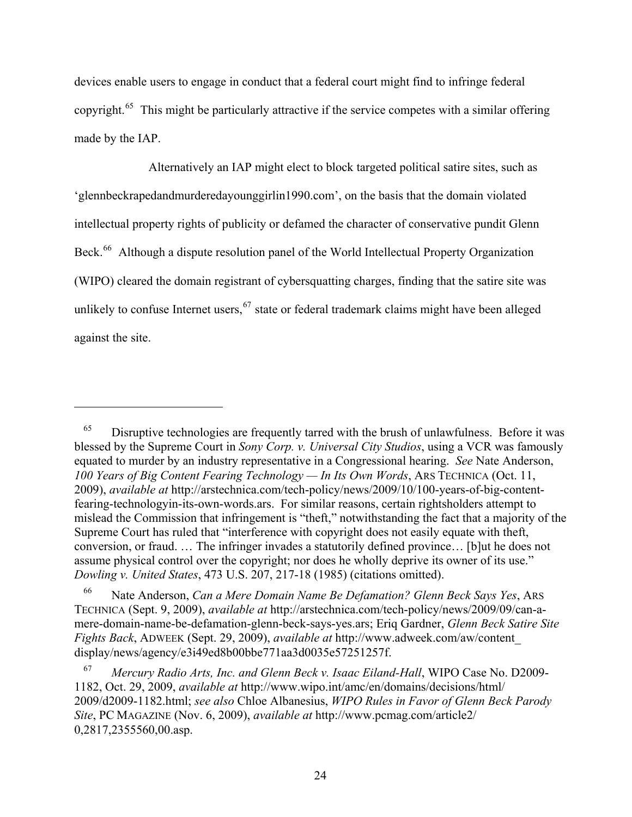devices enable users to engage in conduct that a federal court might find to infringe federal copyright.[65](#page-25-1) This might be particularly attractive if the service competes with a similar offering made by the IAP.

Alternatively an IAP might elect to block targeted political satire sites, such as 'glennbeckrapedandmurderedayounggirlin1990.com', on the basis that the domain violated intellectual property rights of publicity or defamed the character of conservative pundit Glenn Beck.<sup>[66](#page-25-2)</sup> Although a dispute resolution panel of the World Intellectual Property Organization (WIPO) cleared the domain registrant of cybersquatting charges, finding that the satire site was unlikely to confuse Internet users,  $67$  state or federal trademark claims might have been alleged against the site.

<span id="page-25-1"></span> $65$  Disruptive technologies are frequently tarred with the brush of unlawfulness. Before it was blessed by the Supreme Court in *Sony Corp. v. Universal City Studios*, using a VCR was famously equated to murder by an industry representative in a Congressional hearing. *See* Nate Anderson, *100 Years of Big Content Fearing Technology — In Its Own Words*, ARS TECHNICA (Oct. 11, 2009), *available at* http://arstechnica.com/tech-policy/news/2009/10/100-years-of-big-contentfearing-technologyin-its-own-words.ars. For similar reasons, certain rightsholders attempt to mislead the Commission that infringement is "theft," notwithstanding the fact that a majority of the Supreme Court has ruled that "interference with copyright does not easily equate with theft, conversion, or fraud. … The infringer invades a statutorily defined province… [b]ut he does not assume physical control over the copyright; nor does he wholly deprive its owner of its use." *Dowling v. United States*, 473 U.S. 207, 217-18 (1985) (citations omitted).

<span id="page-25-2"></span><sup>66</sup> Nate Anderson, *Can a Mere Domain Name Be Defamation? Glenn Beck Says Yes*, ARS TECHNICA (Sept. 9, 2009), *available at* http://arstechnica.com/tech-policy/news/2009/09/can-amere-domain-name-be-defamation-glenn-beck-says-yes.ars; Eriq Gardner, *Glenn Beck Satire Site Fights Back*, ADWEEK (Sept. 29, 2009), *available at* http://www.adweek.com/aw/content\_ display/news/agency/e3i49ed8b00bbe771aa3d0035e57251257f.

<span id="page-25-0"></span><sup>67</sup> *Mercury Radio Arts, Inc. and Glenn Beck v. Isaac Eiland-Hall*, WIPO Case No. D2009- 1182, Oct. 29, 2009, *available at* http://www.wipo.int/amc/en/domains/decisions/html/ 2009/d2009-1182.html; *see also* Chloe Albanesius, *WIPO Rules in Favor of Glenn Beck Parody Site*, PC MAGAZINE (Nov. 6, 2009), *available at* http://www.pcmag.com/article2/ 0,2817,2355560,00.asp.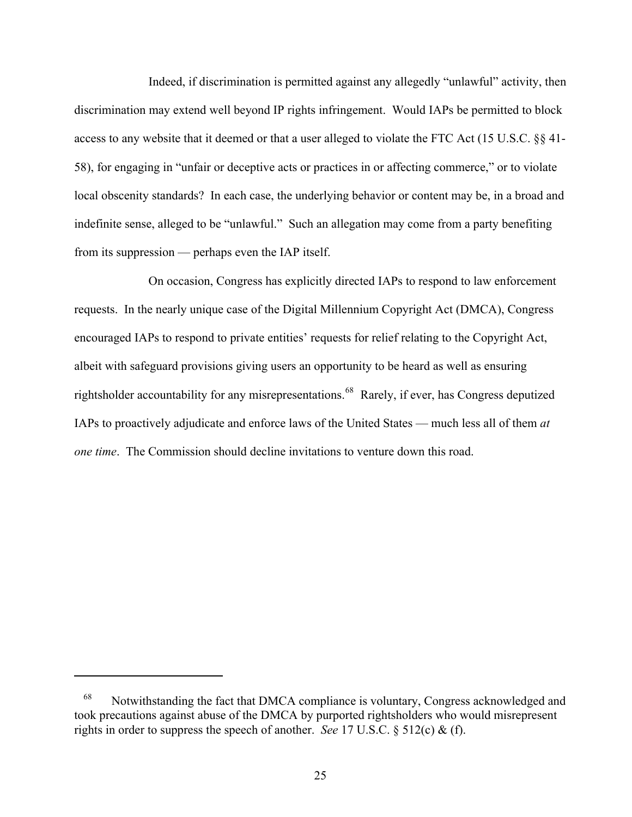Indeed, if discrimination is permitted against any allegedly "unlawful" activity, then discrimination may extend well beyond IP rights infringement. Would IAPs be permitted to block access to any website that it deemed or that a user alleged to violate the FTC Act (15 U.S.C. §§ 41- 58), for engaging in "unfair or deceptive acts or practices in or affecting commerce," or to violate local obscenity standards? In each case, the underlying behavior or content may be, in a broad and indefinite sense, alleged to be "unlawful." Such an allegation may come from a party benefiting from its suppression — perhaps even the IAP itself.

On occasion, Congress has explicitly directed IAPs to respond to law enforcement requests. In the nearly unique case of the Digital Millennium Copyright Act (DMCA), Congress encouraged IAPs to respond to private entities' requests for relief relating to the Copyright Act, albeit with safeguard provisions giving users an opportunity to be heard as well as ensuring rightsholder accountability for any misrepresentations.<sup>[68](#page-26-0)</sup> Rarely, if ever, has Congress deputized IAPs to proactively adjudicate and enforce laws of the United States — much less all of them *at one time*. The Commission should decline invitations to venture down this road.

<span id="page-26-0"></span><sup>68</sup>Notwithstanding the fact that DMCA compliance is voluntary, Congress acknowledged and took precautions against abuse of the DMCA by purported rightsholders who would misrepresent rights in order to suppress the speech of another. *See* 17 U.S.C. § 512(c) & (f).